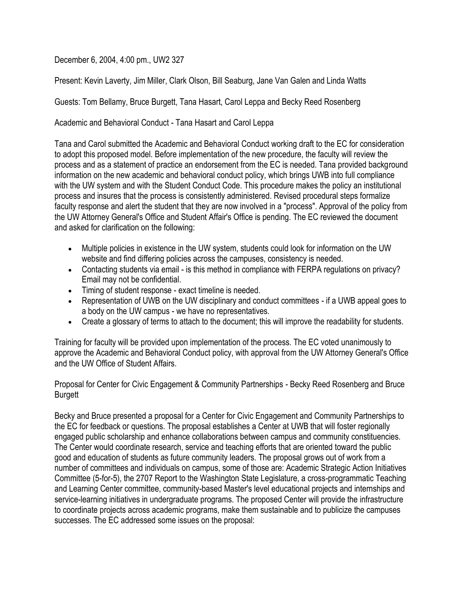December 6, 2004, 4:00 pm., UW2 327

Present: Kevin Laverty, Jim Miller, Clark Olson, Bill Seaburg, Jane Van Galen and Linda Watts

Guests: Tom Bellamy, Bruce Burgett, Tana Hasart, Carol Leppa and Becky Reed Rosenberg

Academic and Behavioral Conduct - Tana Hasart and Carol Leppa

Tana and Carol submitted the Academic and Behavioral Conduct working draft to the EC for consideration to adopt this proposed model. Before implementation of the new procedure, the faculty will review the process and as a statement of practice an endorsement from the EC is needed. Tana provided background information on the new academic and behavioral conduct policy, which brings UWB into full compliance with the UW system and with the Student Conduct Code. This procedure makes the policy an institutional process and insures that the process is consistently administered. Revised procedural steps formalize faculty response and alert the student that they are now involved in a "process". Approval of the policy from the UW Attorney General's Office and Student Affair's Office is pending. The EC reviewed the document and asked for clarification on the following:

- Multiple policies in existence in the UW system, students could look for information on the UW website and find differing policies across the campuses, consistency is needed.
- Contacting students via email is this method in compliance with FERPA regulations on privacy? Email may not be confidential.
- Timing of student response exact timeline is needed.
- Representation of UWB on the UW disciplinary and conduct committees if a UWB appeal goes to a body on the UW campus - we have no representatives.
- Create a glossary of terms to attach to the document; this will improve the readability for students.

Training for faculty will be provided upon implementation of the process. The EC voted unanimously to approve the Academic and Behavioral Conduct policy, with approval from the UW Attorney General's Office and the UW Office of Student Affairs.

Proposal for Center for Civic Engagement & Community Partnerships - Becky Reed Rosenberg and Bruce **Burgett** 

Becky and Bruce presented a proposal for a Center for Civic Engagement and Community Partnerships to the EC for feedback or questions. The proposal establishes a Center at UWB that will foster regionally engaged public scholarship and enhance collaborations between campus and community constituencies. The Center would coordinate research, service and teaching efforts that are oriented toward the public good and education of students as future community leaders. The proposal grows out of work from a number of committees and individuals on campus, some of those are: Academic Strategic Action Initiatives Committee (5-for-5), the 2707 Report to the Washington State Legislature, a cross-programmatic Teaching and Learning Center committee, community-based Master's level educational projects and internships and service-learning initiatives in undergraduate programs. The proposed Center will provide the infrastructure to coordinate projects across academic programs, make them sustainable and to publicize the campuses successes. The EC addressed some issues on the proposal: